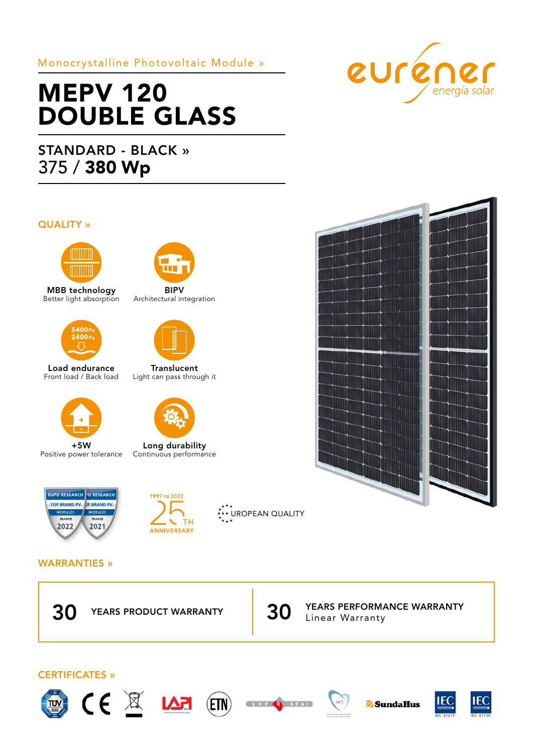# Monocrystalline Photovoltaic Module »

# MEPV 120 DOUBLE GLASS

# STANDARD - BLACK » 375 / 380 Wp

### QUALITY »



MBB technology Better light absorption



Load endurance Front load / Back load



+5W Positive power tolerance



BIPV Architectural integration





Long durability Continuous performance





\*\*\* UROPEAN QUALITY

## WARRANTIES »























**Translucent** Light can pass through it